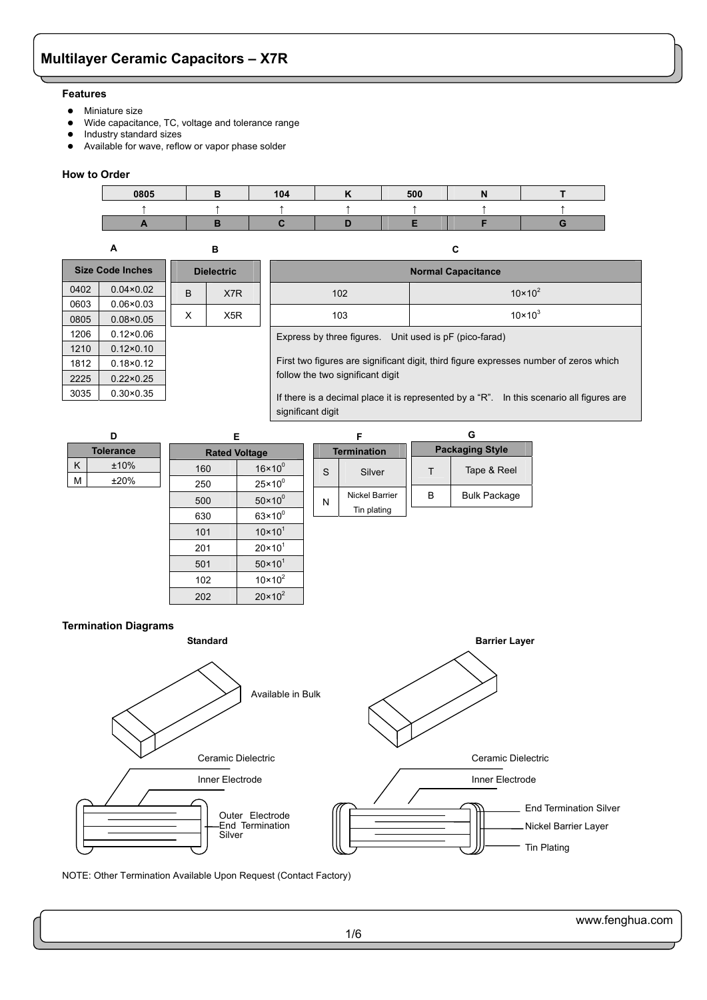#### **Features**

- Miniature size
- Wide capacitance, TC, voltage and tolerance range
- Industry standard sizes
- Available for wave, reflow or vapor phase solder

#### **How to Order**

**A** 

0603 0.06×0.03 0805 0.08×0.05 1206 0.12×0.06 1210 0.12×0.10 1812 0.18×0.12 2225 0.22×0.25 3035 0.30×0.35



| R                 |                         |      |  |  |
|-------------------|-------------------------|------|--|--|
| <b>Dielectric</b> | <b>Size Code Inches</b> |      |  |  |
|                   | $0.04 \times 0.02$      | 0402 |  |  |

B X7R

 $X$   $X5R$ 

| С                                                      |                    |  |  |  |  |
|--------------------------------------------------------|--------------------|--|--|--|--|
| <b>Normal Capacitance</b>                              |                    |  |  |  |  |
| 102                                                    | $10 \times 10^{2}$ |  |  |  |  |
| 103                                                    | $10 \times 10^{3}$ |  |  |  |  |
| Express by three figures. Unit used is pF (pico-farad) |                    |  |  |  |  |

First two figures are significant digit, third figure expresses number of zeros which follow the two significant digit

If there is a decimal place it is represented by a "R". In this scenario all figures are significant digit

| D                | Е                    |                    |                    | F              |                        | G                   |
|------------------|----------------------|--------------------|--------------------|----------------|------------------------|---------------------|
| <b>Tolerance</b> | <b>Rated Voltage</b> |                    | <b>Termination</b> |                | <b>Packaging Style</b> |                     |
| K<br>±10%        | 160                  | $16 \times 10^{0}$ | S                  | Silver         | T                      | Tape & Reel         |
| M<br>±20%        | 250                  | $25 \times 10^{0}$ |                    |                |                        |                     |
|                  | 500                  | $50 \times 10^{0}$ | N                  | Nickel Barrier | B                      | <b>Bulk Package</b> |
|                  | 630                  | $63 \times 10^{0}$ |                    | Tin plating    |                        |                     |
|                  | 101                  | $10 \times 10^{1}$ |                    |                |                        |                     |
|                  | 201                  | $20 \times 10^{1}$ |                    |                |                        |                     |
|                  | 501                  | $50 \times 10^{1}$ |                    |                |                        |                     |
|                  | 102                  | $10 \times 10^{2}$ |                    |                |                        |                     |
|                  | 202                  | $20 \times 10^2$   |                    |                |                        |                     |





NOTE: Other Termination Available Upon Request (Contact Factory)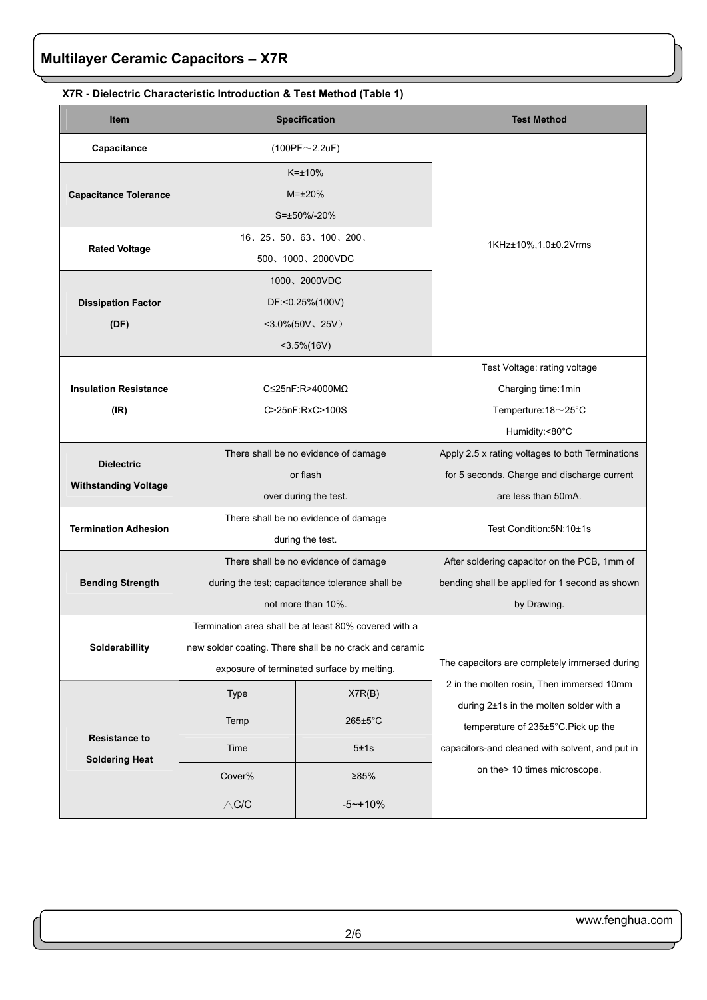| <b>Item</b>                                      |                                                                                                                                                                | <b>Specification</b>                                                                                          | <b>Test Method</b>                                                                                                                                                                                              |
|--------------------------------------------------|----------------------------------------------------------------------------------------------------------------------------------------------------------------|---------------------------------------------------------------------------------------------------------------|-----------------------------------------------------------------------------------------------------------------------------------------------------------------------------------------------------------------|
| Capacitance                                      |                                                                                                                                                                | $(100PF \sim 2.2uF)$                                                                                          |                                                                                                                                                                                                                 |
| <b>Capacitance Tolerance</b>                     |                                                                                                                                                                | $K=+10%$<br>$M = \pm 20\%$<br>S=±50%/-20%                                                                     |                                                                                                                                                                                                                 |
| <b>Rated Voltage</b>                             |                                                                                                                                                                | 16, 25, 50, 63, 100, 200,<br>500、1000、2000VDC                                                                 | 1KHz±10%, 1.0±0.2Vrms                                                                                                                                                                                           |
| <b>Dissipation Factor</b><br>(DF)                |                                                                                                                                                                | 1000、2000VDC<br>DF:<0.25%(100V)<br>$<$ 3.0%(50V, 25V)<br>$<$ 3.5%(16V)                                        |                                                                                                                                                                                                                 |
| <b>Insulation Resistance</b><br>(IR)             |                                                                                                                                                                | C≤25nF:R>4000MΩ<br>C>25nF:RxC>100S                                                                            | Test Voltage: rating voltage<br>Charging time:1min<br>Temperture: 18~25°C<br>Humidity:<80°C                                                                                                                     |
| <b>Dielectric</b><br><b>Withstanding Voltage</b> |                                                                                                                                                                | There shall be no evidence of damage<br>or flash<br>over during the test.                                     | Apply 2.5 x rating voltages to both Terminations<br>for 5 seconds. Charge and discharge current<br>are less than 50mA.                                                                                          |
| <b>Termination Adhesion</b>                      |                                                                                                                                                                | There shall be no evidence of damage<br>during the test.                                                      | Test Condition: 5N: 10±1s                                                                                                                                                                                       |
| <b>Bending Strength</b>                          |                                                                                                                                                                | There shall be no evidence of damage<br>during the test; capacitance tolerance shall be<br>not more than 10%. | After soldering capacitor on the PCB, 1mm of<br>bending shall be applied for 1 second as shown<br>by Drawing.                                                                                                   |
| Solderabillity                                   | Termination area shall be at least 80% covered with a<br>new solder coating. There shall be no crack and ceramic<br>exposure of terminated surface by melting. |                                                                                                               | The capacitors are completely immersed during                                                                                                                                                                   |
| <b>Resistance to</b><br><b>Soldering Heat</b>    | <b>Type</b><br>Temp<br>Time<br>Cover%                                                                                                                          | X7R(B)<br>265±5°C<br>5±1s<br>>85%                                                                             | 2 in the molten rosin, Then immersed 10mm<br>during 2±1s in the molten solder with a<br>temperature of 235±5°C. Pick up the<br>capacitors-and cleaned with solvent, and put in<br>on the > 10 times microscope. |
|                                                  | $\triangle$ C/C                                                                                                                                                | $-5$ ~+10%                                                                                                    |                                                                                                                                                                                                                 |

## **X7R - Dielectric Characteristic Introduction & Test Method (Table 1)**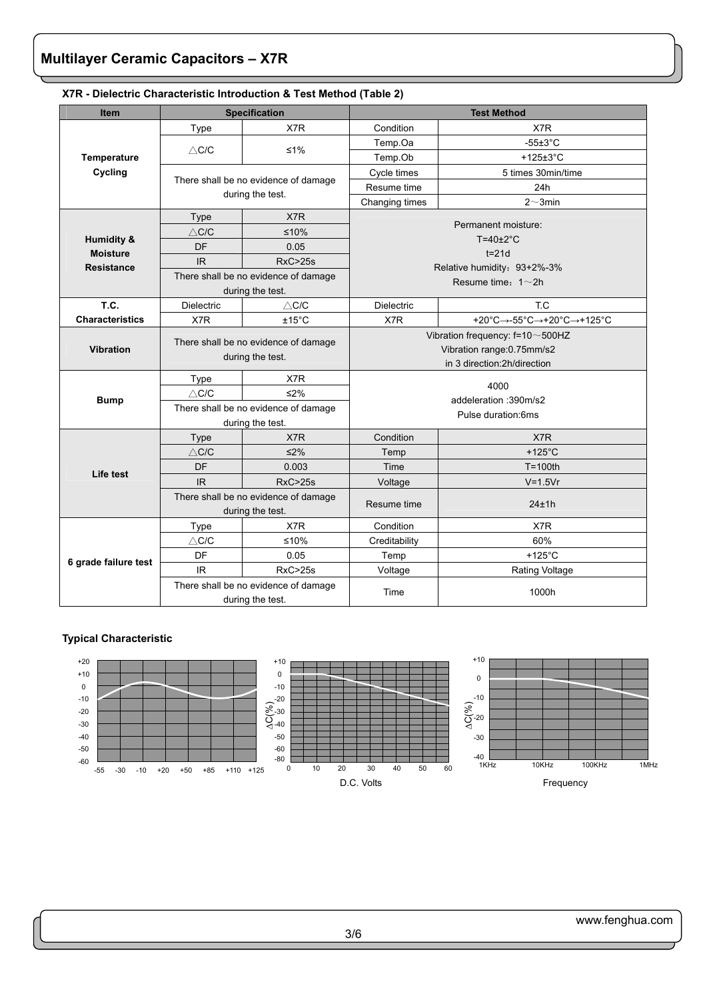| <b>Item</b>                   |                                                          | <b>Specification</b>                 |                                 | <b>Test Method</b>          |  |
|-------------------------------|----------------------------------------------------------|--------------------------------------|---------------------------------|-----------------------------|--|
|                               | Type                                                     | X7R                                  | Condition                       | X7R                         |  |
|                               |                                                          |                                      | Temp.Oa                         | $-55\pm3^{\circ}$ C         |  |
| Temperature                   | $\triangle$ C/C                                          | $≤1%$                                | Temp.Ob                         | +125±3°C                    |  |
| Cycling                       |                                                          |                                      | Cycle times                     | 5 times 30min/time          |  |
|                               |                                                          | There shall be no evidence of damage | Resume time                     | 24h                         |  |
|                               | during the test.                                         |                                      | Changing times                  | $2^{\sim}$ 3min             |  |
|                               | Type                                                     | X7R                                  |                                 | Permanent moisture:         |  |
|                               | $\wedge$ C/C                                             | $≤10%$                               |                                 | $T=40\pm2^{\circ}C$         |  |
| Humidity &<br><b>Moisture</b> | DF                                                       | 0.05                                 |                                 | $t = 21d$                   |  |
| <b>Resistance</b>             | <b>IR</b>                                                | <b>RxC&gt;25s</b>                    |                                 | Relative humidity: 93+2%-3% |  |
|                               |                                                          | There shall be no evidence of damage |                                 | Resume time: $1 \sim 2h$    |  |
|                               |                                                          | during the test.                     |                                 |                             |  |
| T.C.                          | Dielectric                                               | $\wedge$ C/C                         | <b>Dielectric</b>               | T.C                         |  |
| <b>Characteristics</b>        | X7R                                                      | $±15^{\circ}$ C                      | X7R                             | +20°C→-55°C→+20°C→+125°C    |  |
|                               | There shall be no evidence of damage<br>during the test. |                                      | Vibration frequency: f=10~500HZ |                             |  |
| <b>Vibration</b>              |                                                          |                                      | Vibration range: 0.75mm/s2      |                             |  |
|                               |                                                          |                                      | in 3 direction: 2h/direction    |                             |  |
|                               | Type                                                     | X7R                                  |                                 | 4000                        |  |
| <b>Bump</b>                   | $\wedge$ C/C                                             | $≤2%$                                |                                 | addeleration: 390m/s2       |  |
|                               |                                                          | There shall be no evidence of damage | Pulse duration:6ms              |                             |  |
|                               |                                                          | during the test.                     |                                 |                             |  |
|                               | Type                                                     | X7R                                  | Condition                       | X7R                         |  |
|                               | $\wedge$ C/C                                             | $\leq$ 2%                            | Temp                            | $+125^{\circ}$ C            |  |
| Life test                     | DF                                                       | 0.003                                | Time                            | $T = 100th$                 |  |
|                               | <b>IR</b>                                                | <b>RxC&gt;25s</b>                    | Voltage                         | $V=1.5Vr$                   |  |
|                               |                                                          | There shall be no evidence of damage | Resume time                     | 24±1h                       |  |
|                               |                                                          | during the test.                     |                                 |                             |  |
|                               | <b>Type</b>                                              | X7R                                  | Condition                       | X7R                         |  |
|                               | $\triangle$ C/C                                          | $≤10%$                               | Creditability                   | 60%                         |  |
| 6 grade failure test          | DF                                                       | 0.05                                 | Temp                            | $+125^{\circ}$ C            |  |
|                               | <b>IR</b>                                                | RxC > 25s                            | Voltage                         | <b>Rating Voltage</b>       |  |
|                               | There shall be no evidence of damage<br>during the test. |                                      | Time                            | 1000h                       |  |

### **X7R - Dielectric Characteristic Introduction & Test Method (Table 2)**

## **Typical Characteristic**

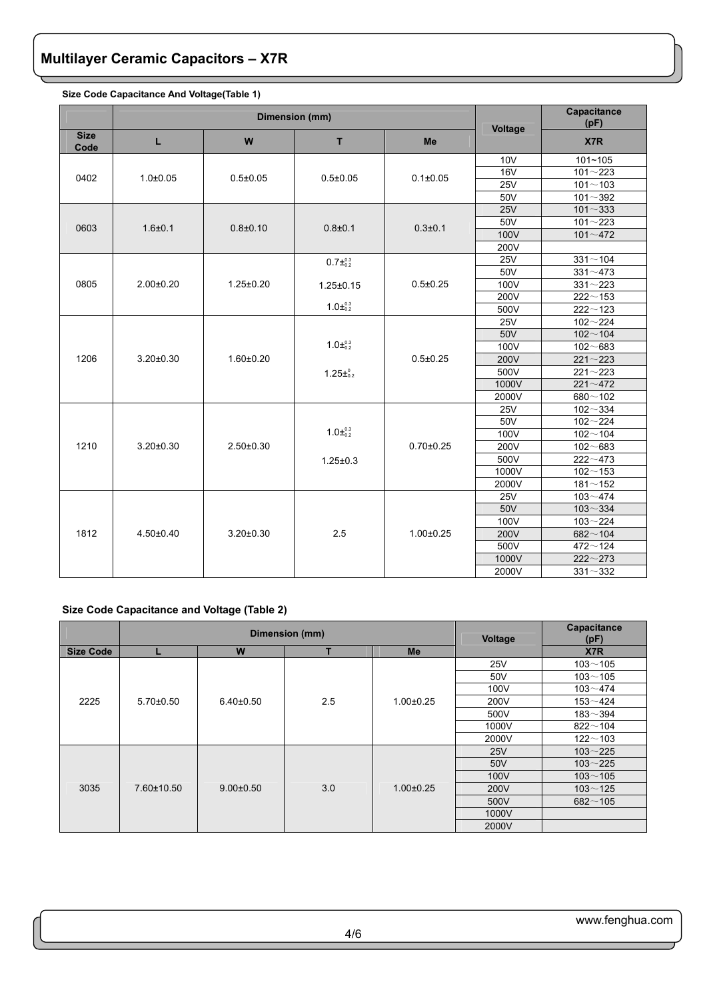|                     |                 | Dimension (mm)  |                                         | Capacitance<br>(pF) |                 |                      |
|---------------------|-----------------|-----------------|-----------------------------------------|---------------------|-----------------|----------------------|
| <b>Size</b><br>Code | L               | W               | T                                       | Me                  | Voltage         | X7R                  |
|                     |                 |                 |                                         |                     | 10 <sub>V</sub> | 101~105              |
| 0402                | $1.0 + 0.05$    | $0.5 + 0.05$    | $0.5 + 0.05$                            | $0.1 \pm 0.05$      | <b>16V</b>      | $101 - 223$          |
|                     |                 |                 |                                         |                     | 25V             | $101 - 103$          |
|                     |                 |                 |                                         |                     | 50V             | $101 - 392$          |
|                     |                 |                 |                                         |                     | 25V             | $101 - 333$          |
| 0603                | $1.6 + 0.1$     | $0.8 + 0.10$    | $0.8 + 0.1$                             | $0.3 + 0.1$         | 50V             | $101 - 223$          |
|                     |                 |                 |                                         |                     | 100V            | $101 - 472$          |
|                     |                 |                 |                                         |                     | 200V            |                      |
|                     |                 |                 | $0.7\pm^{0.3}_{0.2}$                    |                     | <b>25V</b>      | $331 - 104$          |
|                     |                 |                 |                                         |                     | 50V             | $331 - 473$          |
| 0805                | $2.00 \pm 0.20$ | $1.25 \pm 0.20$ | $1.25 \pm 0.15$                         | $0.5 \pm 0.25$      | 100V            | $331 - 223$          |
|                     |                 |                 |                                         |                     | 200V            | $222 - 153$          |
|                     |                 |                 | $1.0\pm^{0.3}_{0.2}$                    |                     | 500V            | $222 - 123$          |
|                     | $3.20 \pm 0.30$ |                 | $1.0\pm^{0.3}_{0.2}$<br>$1.25\pm^{0.2}$ | $0.5 + 0.25$        | <b>25V</b>      | $102 - 224$          |
|                     |                 |                 |                                         |                     | 50V             | $102 - 104$          |
|                     |                 |                 |                                         |                     | 100V            | $102 - 683$          |
| 1206                |                 | $1.60 \pm 0.20$ |                                         |                     | 200V            | $221 - 223$          |
|                     |                 |                 |                                         |                     | 500V            | $221 - 223$          |
|                     |                 |                 |                                         |                     | 1000V           | $221 - 472$          |
|                     |                 |                 |                                         |                     | 2000V           | $680 - 102$          |
|                     |                 |                 |                                         |                     | <b>25V</b>      | $102 - 334$          |
|                     |                 |                 |                                         |                     | 50V             | $102 - 224$          |
|                     |                 |                 | $1.0\pm^{0.3}_{0.2}$                    |                     | 100V            | $102 - 104$          |
| 1210                | $3.20 \pm 0.30$ | $2.50 \pm 0.30$ |                                         | $0.70 \pm 0.25$     | 200V            | $102 - 683$          |
|                     |                 |                 | $1.25 \pm 0.3$                          |                     | 500V            | $\frac{22}{22}$ ~473 |
|                     |                 |                 |                                         |                     | 1000V           | $102 - 153$          |
|                     |                 |                 |                                         |                     | 2000V           | $181 - 152$          |
|                     |                 |                 |                                         |                     | <b>25V</b>      | $103 - 474$          |
|                     |                 |                 |                                         |                     | 50V             | $103 - 334$          |
|                     |                 |                 |                                         |                     | 100V            | $103 - 224$          |
| 1812                | $4.50 \pm 0.40$ | $3.20 \pm 0.30$ | 2.5                                     | $1.00 \pm 0.25$     | 200V            | $682 - 104$          |
|                     |                 |                 |                                         |                     | 500V            | $472 - 124$          |
|                     |                 |                 |                                         |                     | 1000V           | $222 - 273$          |
|                     |                 |                 |                                         |                     | 2000V           | $331 - 332$          |

#### **Size Code Capacitance And Voltage(Table 1)**

## **Size Code Capacitance and Voltage (Table 2)**

|                  |                 | Dimension (mm)                | Voltage | Capacitance<br>(pF)    |            |             |
|------------------|-----------------|-------------------------------|---------|------------------------|------------|-------------|
| <b>Size Code</b> |                 | W                             |         | Me                     |            | X7R         |
|                  |                 |                               |         |                        | <b>25V</b> | $103 - 105$ |
|                  |                 |                               |         |                        | 50V        | $103 - 105$ |
|                  |                 |                               |         |                        | 100V       | $103 - 474$ |
| 2225             | $5.70{\pm}0.50$ | $6.40{\pm}0.50$               | 2.5     | $1.00 \pm 0.25$        | 200V       | $153 - 424$ |
|                  |                 |                               |         |                        | 500V       | $183 - 394$ |
|                  |                 |                               |         |                        | 1000V      | $822 - 104$ |
|                  |                 |                               |         |                        | 2000V      | $122 - 103$ |
|                  |                 |                               |         | 3.0<br>$1.00 \pm 0.25$ | <b>25V</b> | $103 - 225$ |
|                  |                 | 7.60±10.50<br>$9.00 \pm 0.50$ |         |                        | 50V        | $103 - 225$ |
|                  |                 |                               |         |                        | 100V       | $103 - 105$ |
| 3035             |                 |                               |         |                        | 200V       | $103 - 125$ |
|                  |                 |                               |         |                        | 500V       | $682 - 105$ |
|                  |                 |                               |         |                        | 1000V      |             |
|                  |                 |                               |         |                        | 2000V      |             |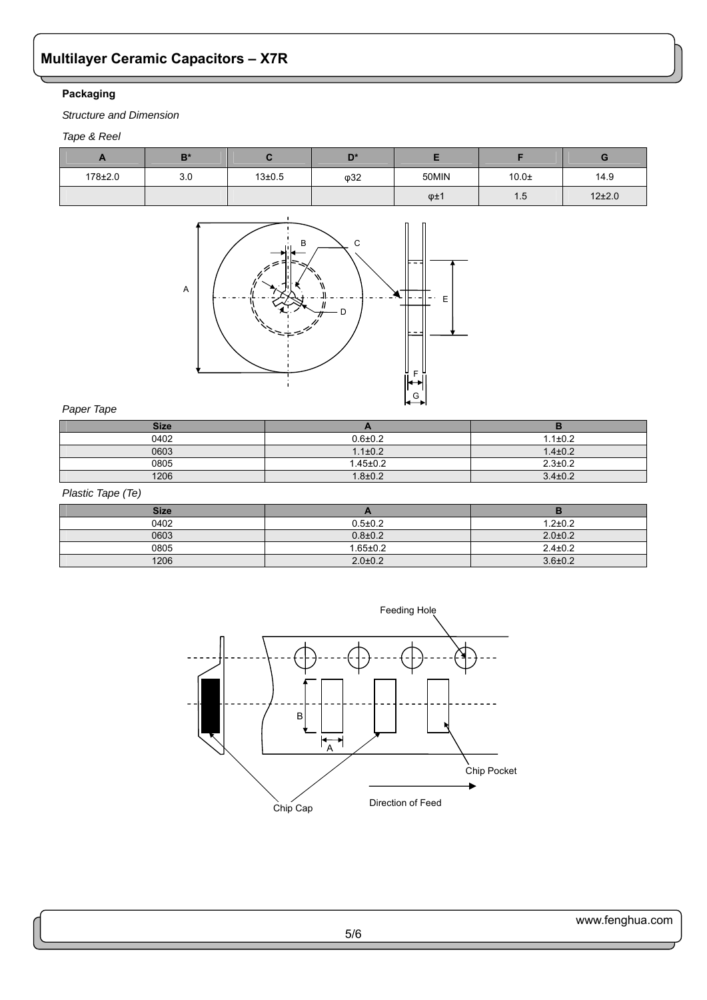## **Packaging**

*Structure and Dimension*

## *Tape & Reel*

| . .     | $B^*$ |              | D*  |                 |           |        |
|---------|-------|--------------|-----|-----------------|-----------|--------|
| 178±2.0 | 3.0   | $13 \pm 0.5$ | φ32 | 50MIN           | $10.0\pm$ | 14.9   |
|         |       |              |     | $\varphi \pm 1$ | 1.5       | 12±2.0 |



### *Paper Tape*

| <b>Size</b> |                |               |
|-------------|----------------|---------------|
| 0402        | $0.6 + 0.2$    | $1.1 \pm 0.2$ |
| 0603        | $1.1 \pm 0.2$  | $1.4 \pm 0.2$ |
| 0805        | $1.45 \pm 0.2$ | $2.3 \pm 0.2$ |
| 1206        | $1.8 + 0.2$    | $3.4 \pm 0.2$ |

## *Plastic Tape (Te)*

| <b>Size</b> |                |               |
|-------------|----------------|---------------|
| 0402        | $0.5 \pm 0.2$  | $1.2 + 0.2$   |
| 0603        | $0.8{\pm}0.2$  | $2.0 \pm 0.2$ |
| 0805        | $1.65 \pm 0.2$ | $2.4 \pm 0.2$ |
| 1206        | $2.0 \pm 0.2$  | $3.6 \pm 0.2$ |